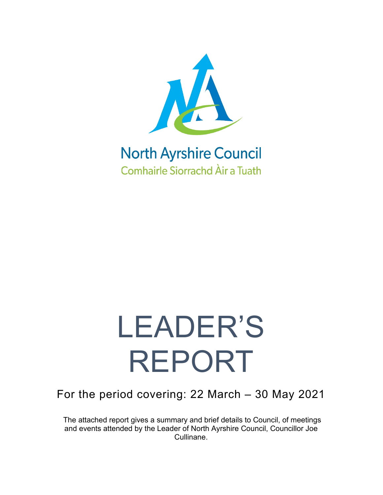

## **North Ayrshire Council Comhairle Siorrachd Àir a Tuath**

# LEADER'S REPORT

### For the period covering: 22 March – 30 May 2021

The attached report gives a summary and brief details to Council, of meetings and events attended by the Leader of North Ayrshire Council, Councillor Joe Cullinane.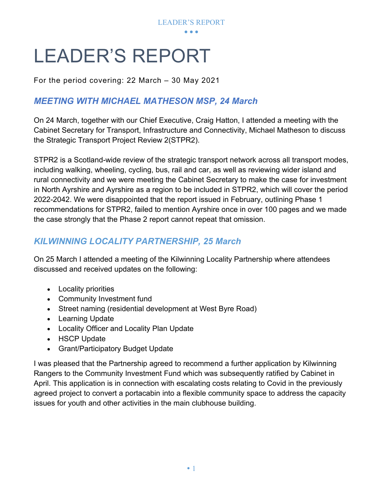

# LEADER'S REPORT

For the period covering: 22 March – 30 May 2021

#### *MEETING WITH MICHAEL MATHESON MSP, 24 March*

On 24 March, together with our Chief Executive, Craig Hatton, I attended a meeting with the Cabinet Secretary for Transport, Infrastructure and Connectivity, Michael Matheson to discuss the Strategic Transport Project Review 2(STPR2).

STPR2 is a Scotland-wide review of the strategic transport network across all transport modes, including walking, wheeling, cycling, bus, rail and car, as well as reviewing wider island and rural connectivity and we were meeting the Cabinet Secretary to make the case for investment in North Ayrshire and Ayrshire as a region to be included in STPR2, which will cover the period 2022-2042. We were disappointed that the report issued in February, outlining Phase 1 recommendations for STPR2, failed to mention Ayrshire once in over 100 pages and we made the case strongly that the Phase 2 report cannot repeat that omission.

#### *KILWINNING LOCALITY PARTNERSHIP, 25 March*

On 25 March I attended a meeting of the Kilwinning Locality Partnership where attendees discussed and received updates on the following:

- Locality priorities
- Community Investment fund
- Street naming (residential development at West Byre Road)
- Learning Update
- Locality Officer and Locality Plan Update
- HSCP Update
- Grant/Participatory Budget Update

I was pleased that the Partnership agreed to recommend a further application by Kilwinning Rangers to the Community Investment Fund which was subsequently ratified by Cabinet in April. This application is in connection with escalating costs relating to Covid in the previously agreed project to convert a portacabin into a flexible community space to address the capacity issues for youth and other activities in the main clubhouse building.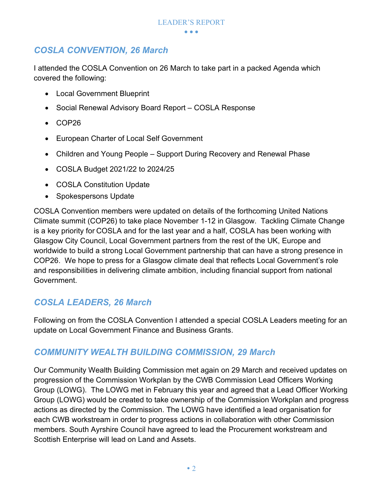#### *COSLA CONVENTION, 26 March*

I attended the COSLA Convention on 26 March to take part in a packed Agenda which covered the following:

- Local Government Blueprint
- Social Renewal Advisory Board Report COSLA Response
- COP26
- European Charter of Local Self Government
- Children and Young People Support During Recovery and Renewal Phase
- COSLA Budget 2021/22 to 2024/25
- COSLA Constitution Update
- Spokespersons Update

COSLA Convention members were updated on details of the forthcoming United Nations Climate summit (COP26) to take place November 1-12 in Glasgow. Tackling Climate Change is a key priority for COSLA and for the last year and a half, COSLA has been working with Glasgow City Council, Local Government partners from the rest of the UK, Europe and worldwide to build a strong Local Government partnership that can have a strong presence in COP26. We hope to press for a Glasgow climate deal that reflects Local Government's role and responsibilities in delivering climate ambition, including financial support from national Government.

#### *COSLA LEADERS, 26 March*

Following on from the COSLA Convention I attended a special COSLA Leaders meeting for an update on Local Government Finance and Business Grants.

#### *COMMUNITY WEALTH BUILDING COMMISSION, 29 March*

Our Community Wealth Building Commission met again on 29 March and received updates on progression of the Commission Workplan by the CWB Commission Lead Officers Working Group (LOWG). The LOWG met in February this year and agreed that a Lead Officer Working Group (LOWG) would be created to take ownership of the Commission Workplan and progress actions as directed by the Commission. The LOWG have identified a lead organisation for each CWB workstream in order to progress actions in collaboration with other Commission members. South Ayrshire Council have agreed to lead the Procurement workstream and Scottish Enterprise will lead on Land and Assets.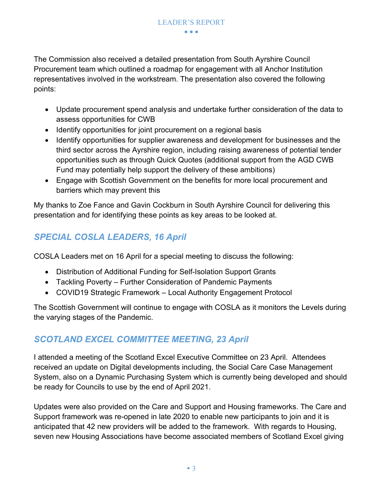The Commission also received a detailed presentation from South Ayrshire Council Procurement team which outlined a roadmap for engagement with all Anchor Institution representatives involved in the workstream. The presentation also covered the following points:

- Update procurement spend analysis and undertake further consideration of the data to assess opportunities for CWB
- Identify opportunities for joint procurement on a regional basis
- Identify opportunities for supplier awareness and development for businesses and the third sector across the Ayrshire region, including raising awareness of potential tender opportunities such as through Quick Quotes (additional support from the AGD CWB Fund may potentially help support the delivery of these ambitions)
- Engage with Scottish Government on the benefits for more local procurement and barriers which may prevent this

My thanks to Zoe Fance and Gavin Cockburn in South Ayrshire Council for delivering this presentation and for identifying these points as key areas to be looked at.

#### *SPECIAL COSLA LEADERS, 16 April*

COSLA Leaders met on 16 April for a special meeting to discuss the following:

- Distribution of Additional Funding for Self-Isolation Support Grants
- Tackling Poverty Further Consideration of Pandemic Payments
- COVID19 Strategic Framework Local Authority Engagement Protocol

The Scottish Government will continue to engage with COSLA as it monitors the Levels during the varying stages of the Pandemic.

#### *SCOTLAND EXCEL COMMITTEE MEETING, 23 April*

I attended a meeting of the Scotland Excel Executive Committee on 23 April. Attendees received an update on Digital developments including, the Social Care Case Management System, also on a Dynamic Purchasing System which is currently being developed and should be ready for Councils to use by the end of April 2021.

Updates were also provided on the Care and Support and Housing frameworks. The Care and Support framework was re-opened in late 2020 to enable new participants to join and it is anticipated that 42 new providers will be added to the framework. With regards to Housing, seven new Housing Associations have become associated members of Scotland Excel giving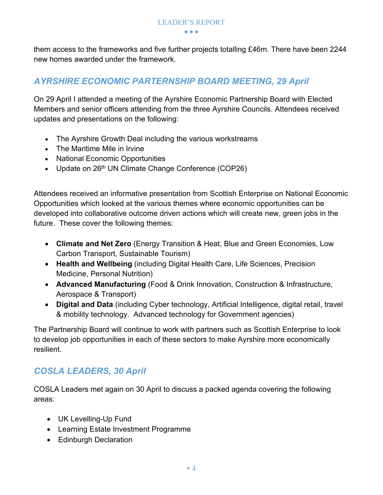them access to the frameworks and five further projects totalling £46m. There have been 2244 new homes awarded under the framework.

#### *AYRSHIRE ECONOMIC PARTERNSHIP BOARD MEETING, 29 April*

On 29 April I attended a meeting of the Ayrshire Economic Partnership Board with Elected Members and senior officers attending from the three Ayrshire Councils. Attendees received updates and presentations on the following:

- The Ayrshire Growth Deal including the various workstreams
- The Maritime Mile in Irvine
- National Economic Opportunities
- Update on 26<sup>th</sup> UN Climate Change Conference (COP26)

Attendees received an informative presentation from Scottish Enterprise on National Economic Opportunities which looked at the various themes where economic opportunities can be developed into collaborative outcome driven actions which will create new, green jobs in the future. These cover the following themes:

- **Climate and Net Zero** (Energy Transition & Heat, Blue and Green Economies, Low Carbon Transport, Sustainable Tourism)
- **Health and Wellbeing** (including Digital Health Care, Life Sciences, Precision Medicine, Personal Nutrition)
- **Advanced Manufacturing** (Food & Drink Innovation, Construction & Infrastructure, Aerospace & Transport)
- **Digital and Data** (including Cyber technology, Artificial Intelligence, digital retail, travel & mobility technology. Advanced technology for Government agencies)

The Partnership Board will continue to work with partners such as Scottish Enterprise to look to develop job opportunities in each of these sectors to make Ayrshire more economically resilient.

#### *COSLA LEADERS, 30 April*

COSLA Leaders met again on 30 April to discuss a packed agenda covering the following areas:

- UK Levelling-Up Fund
- Learning Estate Investment Programme
- Edinburgh Declaration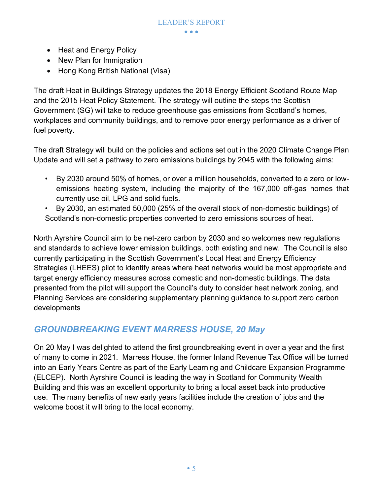- Heat and Energy Policy
- New Plan for Immigration
- Hong Kong British National (Visa)

The draft Heat in Buildings Strategy updates the 2018 Energy Efficient Scotland Route Map and the 2015 Heat Policy Statement. The strategy will outline the steps the Scottish Government (SG) will take to reduce greenhouse gas emissions from Scotland's homes, workplaces and community buildings, and to remove poor energy performance as a driver of fuel poverty.

The draft Strategy will build on the policies and actions set out in the 2020 Climate Change Plan Update and will set a pathway to zero emissions buildings by 2045 with the following aims:

- By 2030 around 50% of homes, or over a million households, converted to a zero or lowemissions heating system, including the majority of the 167,000 off-gas homes that currently use oil, LPG and solid fuels.
- By 2030, an estimated 50,000 (25% of the overall stock of non-domestic buildings) of Scotland's non-domestic properties converted to zero emissions sources of heat.

North Ayrshire Council aim to be net-zero carbon by 2030 and so welcomes new regulations and standards to achieve lower emission buildings, both existing and new. The Council is also currently participating in the Scottish Government's Local Heat and Energy Efficiency Strategies (LHEES) pilot to identify areas where heat networks would be most appropriate and target energy efficiency measures across domestic and non-domestic buildings. The data presented from the pilot will support the Council's duty to consider heat network zoning, and Planning Services are considering supplementary planning guidance to support zero carbon developments

#### *GROUNDBREAKING EVENT MARRESS HOUSE, 20 May*

On 20 May I was delighted to attend the first groundbreaking event in over a year and the first of many to come in 2021. Marress House, the former Inland Revenue Tax Office will be turned into an Early Years Centre as part of the Early Learning and Childcare Expansion Programme (ELCEP). North Ayrshire Council is leading the way in Scotland for Community Wealth Building and this was an excellent opportunity to bring a local asset back into productive use. The many benefits of new early years facilities include the creation of jobs and the welcome boost it will bring to the local economy.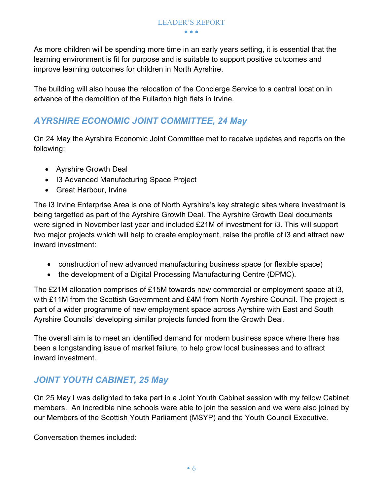As more children will be spending more time in an early years setting, it is essential that the learning environment is fit for purpose and is suitable to support positive outcomes and improve learning outcomes for children in North Ayrshire.

The building will also house the relocation of the Concierge Service to a central location in advance of the demolition of the Fullarton high flats in Irvine.

#### *AYRSHIRE ECONOMIC JOINT COMMITTEE, 24 May*

On 24 May the Ayrshire Economic Joint Committee met to receive updates and reports on the following:

- Ayrshire Growth Deal
- I3 Advanced Manufacturing Space Project
- Great Harbour, Irvine

The i3 Irvine Enterprise Area is one of North Ayrshire's key strategic sites where investment is being targetted as part of the Ayrshire Growth Deal. The Ayrshire Growth Deal documents were signed in November last year and included £21M of investment for i3. This will support two major projects which will help to create employment, raise the profile of i3 and attract new inward investment:

- construction of new advanced manufacturing business space (or flexible space)
- the development of a Digital Processing Manufacturing Centre (DPMC).

The £21M allocation comprises of £15M towards new commercial or employment space at i3, with £11M from the Scottish Government and £4M from North Ayrshire Council. The project is part of a wider programme of new employment space across Ayrshire with East and South Ayrshire Councils' developing similar projects funded from the Growth Deal.

The overall aim is to meet an identified demand for modern business space where there has been a longstanding issue of market failure, to help grow local businesses and to attract inward investment.

#### *JOINT YOUTH CABINET, 25 May*

On 25 May I was delighted to take part in a Joint Youth Cabinet session with my fellow Cabinet members. An incredible nine schools were able to join the session and we were also joined by our Members of the Scottish Youth Parliament (MSYP) and the Youth Council Executive.

Conversation themes included: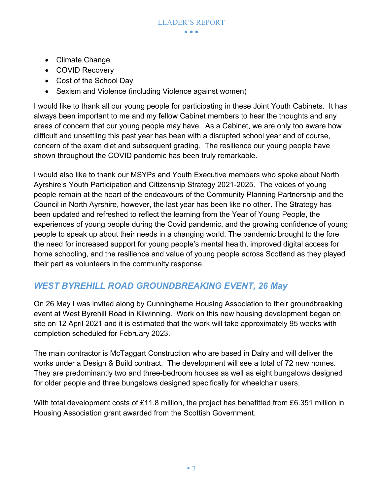- Climate Change
- COVID Recovery
- Cost of the School Day
- Sexism and Violence (including Violence against women)

I would like to thank all our young people for participating in these Joint Youth Cabinets. It has always been important to me and my fellow Cabinet members to hear the thoughts and any areas of concern that our young people may have. As a Cabinet, we are only too aware how difficult and unsettling this past year has been with a disrupted school year and of course, concern of the exam diet and subsequent grading. The resilience our young people have shown throughout the COVID pandemic has been truly remarkable.

I would also like to thank our MSYPs and Youth Executive members who spoke about North Ayrshire's Youth Participation and Citizenship Strategy 2021-2025. The voices of young people remain at the heart of the endeavours of the Community Planning Partnership and the Council in North Ayrshire, however, the last year has been like no other. The Strategy has been updated and refreshed to reflect the learning from the Year of Young People, the experiences of young people during the Covid pandemic, and the growing confidence of young people to speak up about their needs in a changing world. The pandemic brought to the fore the need for increased support for young people's mental health, improved digital access for home schooling, and the resilience and value of young people across Scotland as they played their part as volunteers in the community response.

#### *WEST BYREHILL ROAD GROUNDBREAKING EVENT, 26 May*

On 26 May I was invited along by Cunninghame Housing Association to their groundbreaking event at West Byrehill Road in Kilwinning. Work on this new housing development began on site on 12 April 2021 and it is estimated that the work will take approximately 95 weeks with completion scheduled for February 2023.

The main contractor is McTaggart Construction who are based in Dalry and will deliver the works under a Design & Build contract. The development will see a total of 72 new homes. They are predominantly two and three-bedroom houses as well as eight bungalows designed for older people and three bungalows designed specifically for wheelchair users.

With total development costs of £11.8 million, the project has benefitted from £6.351 million in Housing Association grant awarded from the Scottish Government.